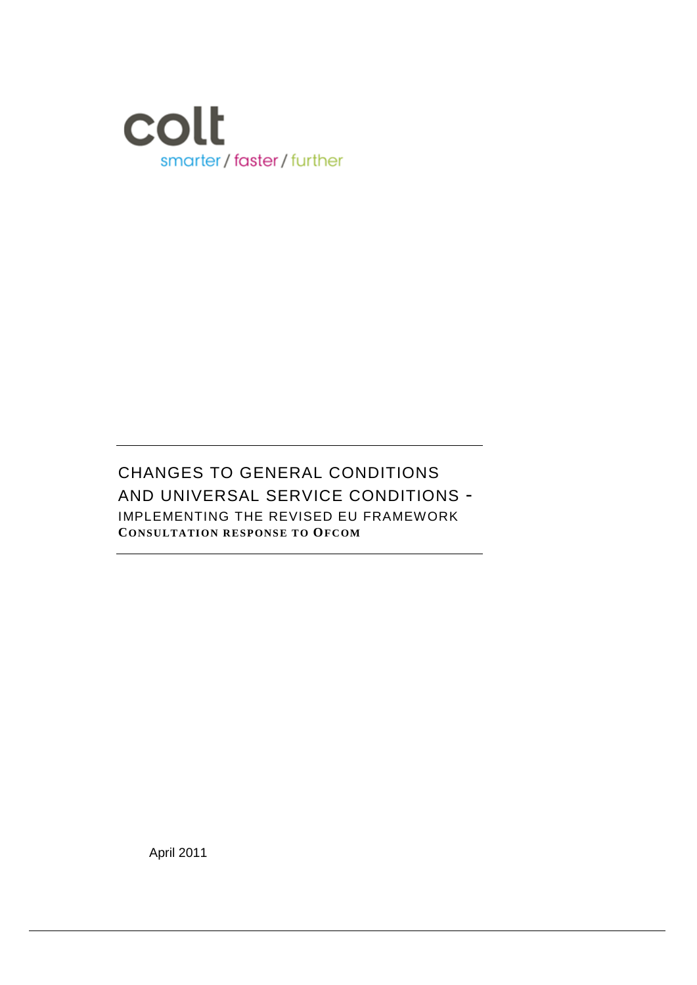

CHANGES TO GENERAL CONDITIONS AND UNIVERSAL SERVICE CONDITIONS - IMPLEMENTING THE REVISED EU FRAMEWORK **CONSULTATION RESPONSE TO OFCOM**

April 2011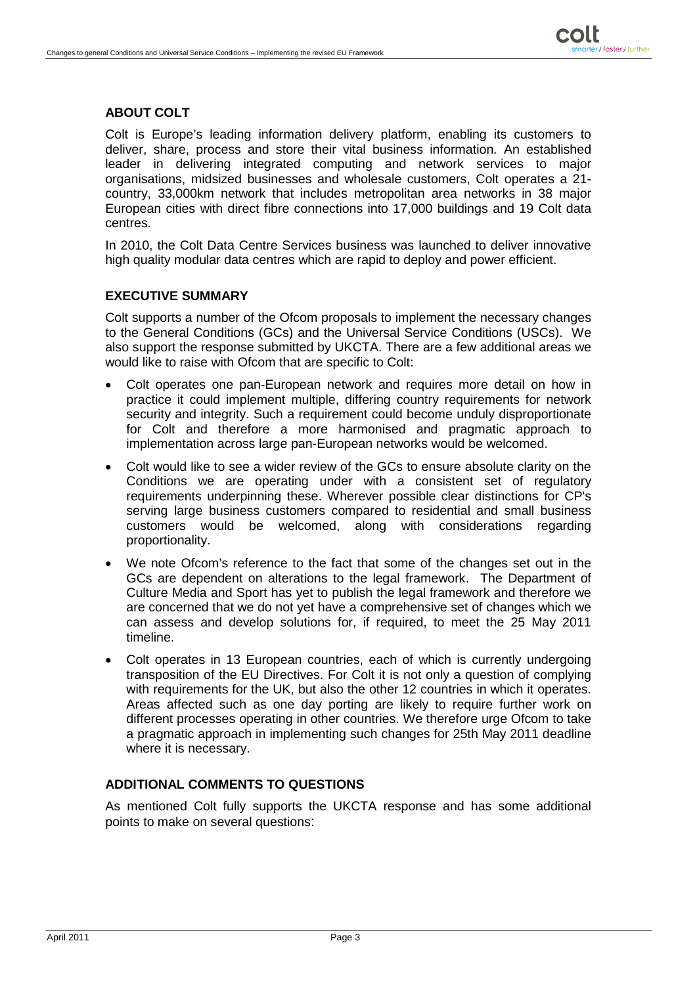# **ABOUT COLT**

Colt is Europe's leading information delivery platform, enabling its customers to deliver, share, process and store their vital business information. An established leader in delivering integrated computing and network services to major organisations, midsized businesses and wholesale customers, Colt operates a 21 country, 33,000km network that includes metropolitan area networks in 38 major European cities with direct fibre connections into 17,000 buildings and 19 Colt data centres.

In 2010, the Colt Data Centre Services business was launched to deliver innovative high quality modular data centres which are rapid to deploy and power efficient.

## **EXECUTIVE SUMMARY**

Colt supports a number of the Ofcom proposals to implement the necessary changes to the General Conditions (GCs) and the Universal Service Conditions (USCs). We also support the response submitted by UKCTA. There are a few additional areas we would like to raise with Ofcom that are specific to Colt:

- Colt operates one pan-European network and requires more detail on how in practice it could implement multiple, differing country requirements for network security and integrity. Such a requirement could become unduly disproportionate for Colt and therefore a more harmonised and pragmatic approach to implementation across large pan-European networks would be welcomed.
- Colt would like to see a wider review of the GCs to ensure absolute clarity on the Conditions we are operating under with a consistent set of regulatory requirements underpinning these. Wherever possible clear distinctions for CP's serving large business customers compared to residential and small business customers would be welcomed, along with considerations regarding proportionality.
- We note Ofcom's reference to the fact that some of the changes set out in the GCs are dependent on alterations to the legal framework. The Department of Culture Media and Sport has yet to publish the legal framework and therefore we are concerned that we do not yet have a comprehensive set of changes which we can assess and develop solutions for, if required, to meet the 25 May 2011 timeline.
- Colt operates in 13 European countries, each of which is currently undergoing transposition of the EU Directives. For Colt it is not only a question of complying with requirements for the UK, but also the other 12 countries in which it operates. Areas affected such as one day porting are likely to require further work on different processes operating in other countries. We therefore urge Ofcom to take a pragmatic approach in implementing such changes for 25th May 2011 deadline where it is necessary.

## **ADDITIONAL COMMENTS TO QUESTIONS**

As mentioned Colt fully supports the UKCTA response and has some additional points to make on several questions: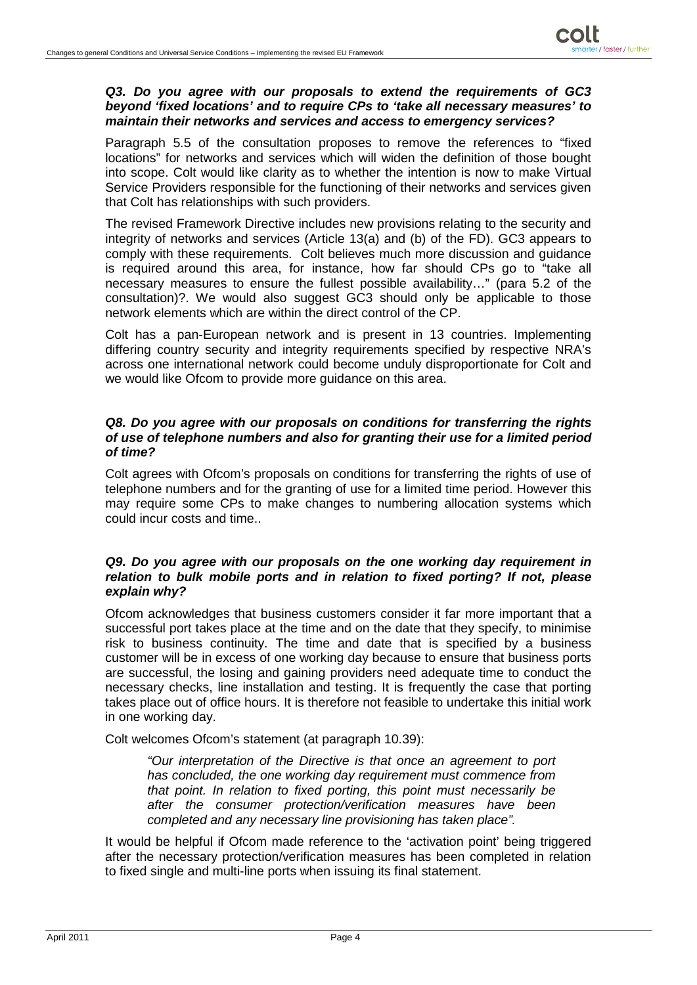### *Q3. Do you agree with our proposals to extend the requirements of GC3 beyond 'fixed locations' and to require CPs to 'take all necessary measures' to maintain their networks and services and access to emergency services?*

Paragraph 5.5 of the consultation proposes to remove the references to "fixed locations" for networks and services which will widen the definition of those bought into scope. Colt would like clarity as to whether the intention is now to make Virtual Service Providers responsible for the functioning of their networks and services given that Colt has relationships with such providers.

The revised Framework Directive includes new provisions relating to the security and integrity of networks and services (Article 13(a) and (b) of the FD). GC3 appears to comply with these requirements. Colt believes much more discussion and guidance is required around this area, for instance, how far should CPs go to "take all necessary measures to ensure the fullest possible availability…" (para 5.2 of the consultation)?. We would also suggest GC3 should only be applicable to those network elements which are within the direct control of the CP.

Colt has a pan-European network and is present in 13 countries. Implementing differing country security and integrity requirements specified by respective NRA's across one international network could become unduly disproportionate for Colt and we would like Ofcom to provide more guidance on this area.

#### *Q8. Do you agree with our proposals on conditions for transferring the rights of use of telephone numbers and also for granting their use for a limited period of time?*

Colt agrees with Ofcom's proposals on conditions for transferring the rights of use of telephone numbers and for the granting of use for a limited time period. However this may require some CPs to make changes to numbering allocation systems which could incur costs and time..

### *Q9. Do you agree with our proposals on the one working day requirement in relation to bulk mobile ports and in relation to fixed porting? If not, please explain why?*

Ofcom acknowledges that business customers consider it far more important that a successful port takes place at the time and on the date that they specify, to minimise risk to business continuity. The time and date that is specified by a business customer will be in excess of one working day because to ensure that business ports are successful, the losing and gaining providers need adequate time to conduct the necessary checks, line installation and testing. It is frequently the case that porting takes place out of office hours. It is therefore not feasible to undertake this initial work in one working day.

Colt welcomes Ofcom's statement (at paragraph 10.39):

*"Our interpretation of the Directive is that once an agreement to port has concluded, the one working day requirement must commence from that point. In relation to fixed porting, this point must necessarily be after the consumer protection/verification measures have been completed and any necessary line provisioning has taken place".*

It would be helpful if Ofcom made reference to the 'activation point' being triggered after the necessary protection/verification measures has been completed in relation to fixed single and multi-line ports when issuing its final statement.